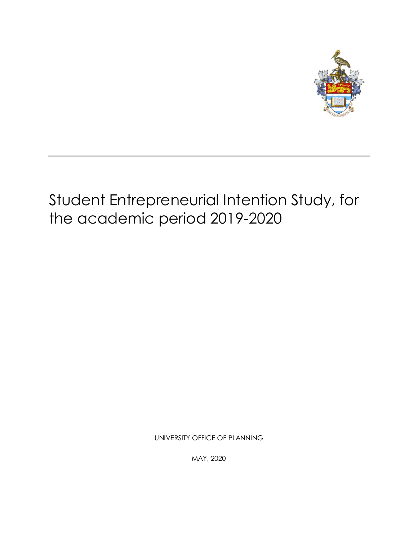

# Student Entrepreneurial Intention Study, for the academic period 2019-2020

UNIVERSITY OFFICE OF PLANNING

MAY, 2020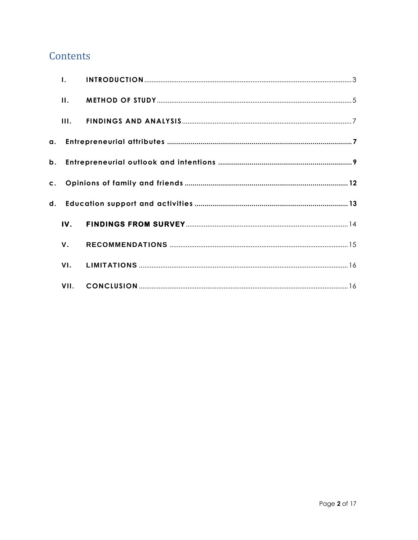# Contents

|    | $\mathbf{L}$ |  |
|----|--------------|--|
|    | II.          |  |
|    | III.         |  |
|    |              |  |
| b. |              |  |
|    |              |  |
|    |              |  |
|    | IV.          |  |
|    | ν.           |  |
|    | VI.          |  |
|    |              |  |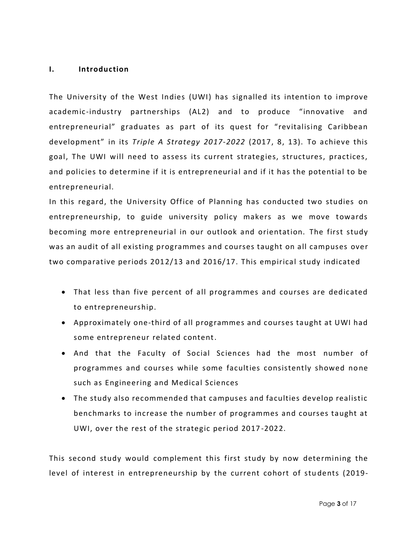#### <span id="page-2-0"></span>**I. Introduction**

The University of the West Indies (UWI) has signalled its intention to improve academic -industry partnerships (AL2) and to produce "innovative and entrepreneurial" graduates as part of its quest for "revitalising Caribbean development" in its *Triple A Strategy 2017-2022* (2017, 8, 13). To achieve this goal, The UWI will need to assess its current strategies, structures, practices, and policies to determine if it is entrepreneurial and if it has the potential to be entrepreneurial.

In this regard, the University Office of Planning has conducted two studies on entrepreneurship, to guide university policy makers as we move towards becoming more entrepreneurial in our outlook and orientation. The first study was an audit of all existing programmes and courses taught on all campuses over two comparative periods 2012/13 and 2016/17. This empirical study indicated

- That less than five percent of all programmes and courses are dedicated to entrepreneurship.
- Approximately one-third of all programmes and courses taught at UWI had some entrepreneur related content.
- And that the Faculty of Social Sciences had the most number of programmes and courses while some faculties consistently showed none such as Engineering and Medical Sciences
- The study also recommended that campuses and faculties develop realistic benchmarks to increase the number of programmes and courses taught at UWI, over the rest of the strategic period 2017 -2022.

This second study would complement this first study by now determining the level of interest in entrepreneurship by the current cohort of stu dents (2019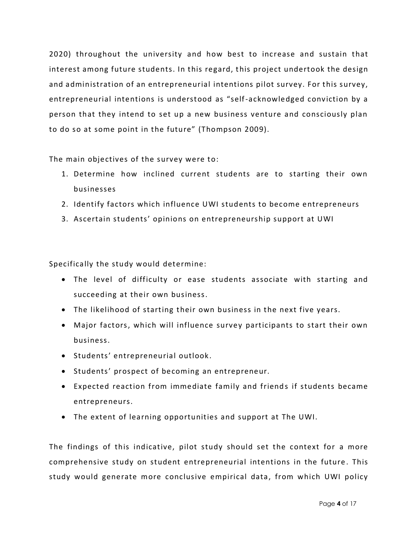2020) throughout the university and how best to increase and sustain that interest among future students. In this regard, this project undertook the design and administration of an entrepreneurial intentions pilot survey. For this survey, entrepreneurial intentions is understood as "self-acknowledged conviction by a person that they intend to set up a new business venture and consciously plan to do so at some point in the future" (Thompson 2009).

The main objectives of the survey were to:

- 1. Determine how inclined current students are to starting their own businesses
- 2. Identify factors which influence UWI students to become entrepreneurs
- 3. Ascertain students' opinions on entrepreneurship support at UWI

Specifically the study would determine:

- The level of difficulty or ease students associate with starting and succeeding at their own business.
- The likelihood of starting their own business in the next five years.
- Major factors, which will influence survey participants to start their own business.
- **•** Students' entrepreneurial outlook.
- Students' prospect of becoming an entrepreneur.
- Expected reaction from immediate family and friends if students became entrepreneurs.
- The extent of learning opportunities and support at The UWI.

The findings of this indicative, pilot study should set the context for a more comprehensive study on student entrepreneurial intentions in the future . This study would generate more conclusive empirical data, from which UWI policy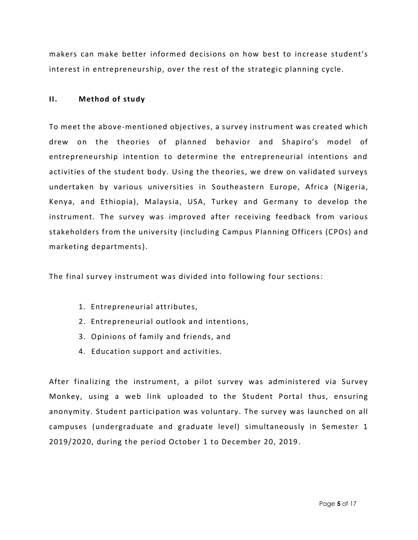makers can make better informed decisions on how best to increase student's interest in entrepreneurship, over the rest of the strategic planning cycle.

#### <span id="page-4-0"></span>**II. Method of study**

To meet the above-mentioned objectives, a survey instrument was created which drew on the theories of planned behavior and Shapiro's model of entrepreneurship intention to determine the entrepreneurial intentions and activities of the student body. Using the theories, we drew on validated surveys undertaken by various universities in Southeastern Europe, Africa (Nigeria, Kenya, and Ethiopia), Malaysia, USA, Turkey and Germany to develop the instrument. The survey was improved after receiving feedback from various stakeholders from the university (including Campus Planning Officers (CPOs) and marketing departments).

The final survey instrument was divided into following four sections:

- 1. Entrepreneurial attributes,
- 2. Entrepreneurial outlook and intentions,
- 3. Opinions of family and friends, and
- 4. Education support and activities.

After finalizing the instrument, a pilot survey was administered via Survey Monkey, using a web link uploaded to the Student Portal thus, ensuring anonymity. Student participation was voluntary. The survey was launched on all campuses (undergraduate and graduate level) simultaneously in Semester 1 2019/2020, during the period October 1 to December 20, 2019 .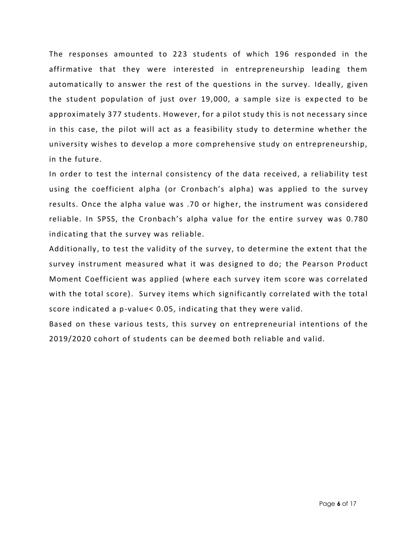The responses amounted to 223 students of which 196 responded in the affirmative that they were interested in entrepreneurship leading them automatically to answer the rest of the questions in the survey. Ideally, given the student population of just over 19,000, a sample size is expe cted to be approximately 377 students. However, for a pilot study this is not necessary since in this case, the pilot will act as a feasibility study to determine whether the university wishes to develop a more comprehensive study on entrepreneurship, in the future.

In order to test the internal consistency of the data received, a reliability test using the coefficient alpha (or Cronbach's alpha) was applied to the survey results. Once the alpha value was .70 or higher, the instrument was considered reliable. In SPSS, the Cronbach's alpha value for the entire survey was 0.780 indicating that the survey was reliable.

Additionally, to test the validity of the survey, to determine the extent that the survey instrument measured what it was designed to do; the Pearson Product Moment Coefficient was applied (where each survey item score was correlated with the total score). Survey items which significantly correlated with the total score indicated a p-value< 0.05, indicating that they were valid.

Based on these various tests, this survey on entrepreneurial intentions of the 2019/2020 cohort of students can be deemed both reliable and valid.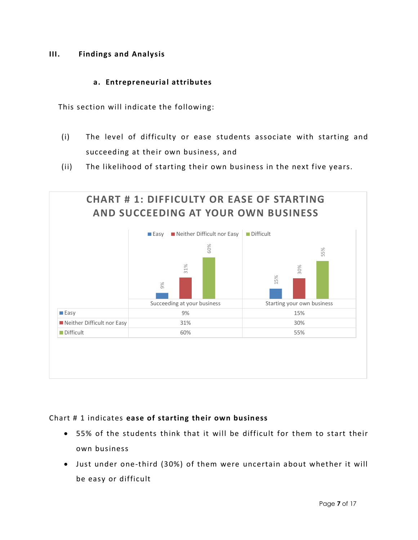### <span id="page-6-0"></span>**III. Findings and Analysis**

#### **a. Entrepreneurial attributes**

<span id="page-6-1"></span>This section will indicate the following:

- (i) The level of difficulty or ease students associate with starting and succeeding at their own business, and
- (ii) The likelihood of starting their own business in the next five years.



# Chart # 1 indicates **ease of starting their own business**

- 55% of the students think that it will be difficult for them to start their own business
- Just under one-third (30%) of them were uncertain about whether it will be easy or difficult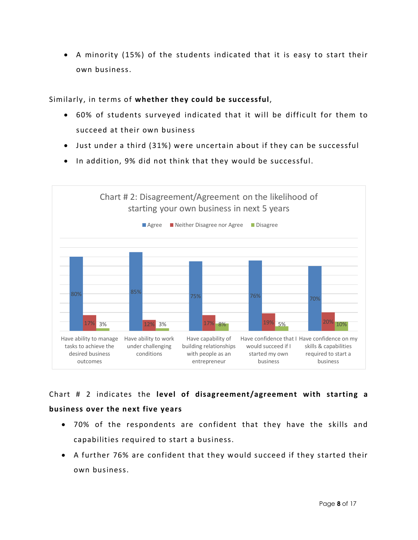A minority (15%) of the students indicated that it is easy to start their own business.

#### Similarly, in terms of **whether they could be successful**,

- 60% of students surveyed indicated that it will be difficult for them to succeed at their own business
- Just under a third (31%) were uncertain about if they can be successful
- In addition, 9% did not think that they would be successful.



Chart # 2 indicates the **level of disagreement/agreement with starting a business over the next five years**

- 70% of the respondents are confident that they have the skills and capabilities required to start a business.
- A further 76% are confident that they would succeed if they started their own business.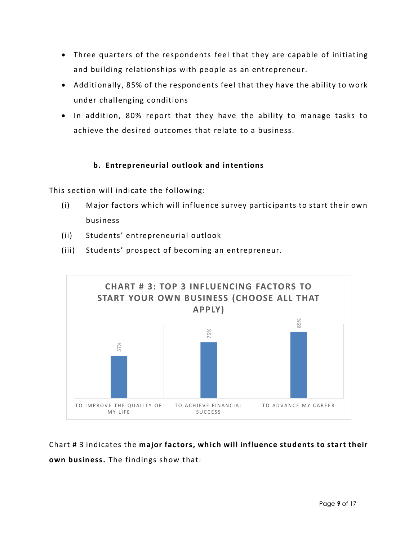- Three quarters of the respondents feel that they are capable of initiating and building relationships with people as an entrepreneur.
- Additionally, 85% of the respondents feel that they have the ability to work under challenging conditions
- In addition, 80% report that they have the ability to manage tasks to achieve the desired outcomes that relate to a business.

# **b. Entrepreneurial outlook and intentions**

<span id="page-8-0"></span>This section will indicate the following:

- (i) Major factors which will influence survey participants to start their own business
- (ii) Students' entrepreneurial outlook
- (iii) Students' prospect of becoming an entrepreneur.



Chart # 3 indicates the **major factors, which will influence students to start their**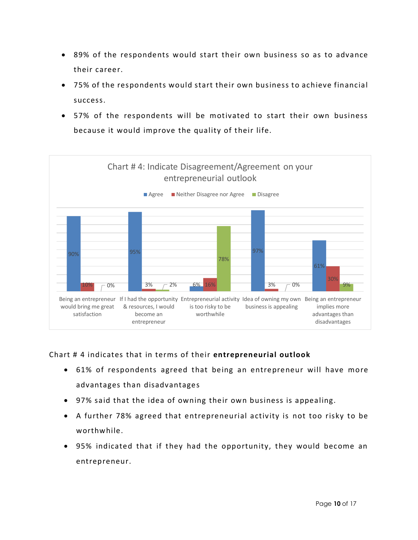- 89% of the respondents would start their own business so as to advance their career.
- 75% of the respondents would start their own business to achieve financial success.
- 57% of the respondents will be motivated to start their own business because it would improve the quality of their life.



Chart # 4 indicates that in terms of their **entrepreneurial outlook**

- 61% of respondents agreed that being an entrepreneur will have more advantages than disadvantages
- 97% said that the idea of owning their own business is appealing.
- A further 78% agreed that entrepreneurial activity is not too risky to be worthwhile.
- 95% indicated that if they had the opportunity, they would become an entrepreneur.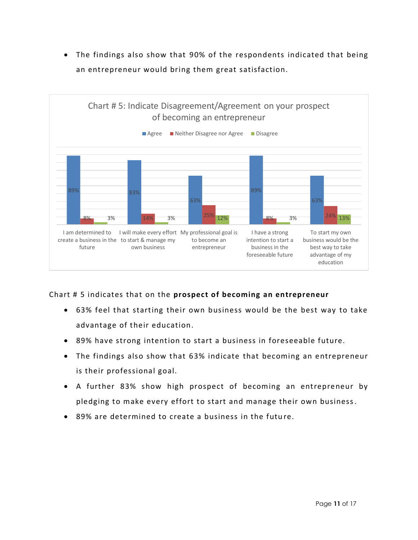The findings also show that 90% of the respondents indicated that being an entrepreneur would bring them great satisfaction.



Chart # 5 indicates that on the **prospect of becoming an entrepreneur**

- 63% feel that starting their own business would be the best way to take advantage of their education.
- 89% have strong intention to start a business in foreseeable future.
- The findings also show that 63% indicate that becoming an entrepreneur is their professional goal.
- A further 83% show high prospect of becoming an entrepreneur by pledging to make every effort to start and manage their own business.
- 89% are determined to create a business in the future.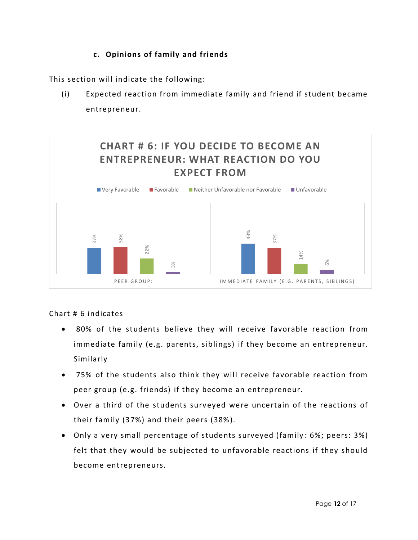# **c. Opinions of family and friends**

<span id="page-11-0"></span>This section will indicate the following:

(i) Expected reaction from immediate family and friend if student became entrepreneur.



#### Chart # 6 indicates

- 80% of the students believe they will receive favorable reaction from immediate family (e.g. parents, siblings) if they become an entrepreneur. Similarly
- 75% of the students also think they will receive favorable reaction from peer group (e.g. friends) if they become an entrepreneur.
- Over a third of the students surveyed were uncertain of the reactions of their family (37%) and their peers (38%).
- Only a very small percentage of students surveyed (family: 6%; peers: 3%) felt that they would be subjected to unfavorable reactions if they should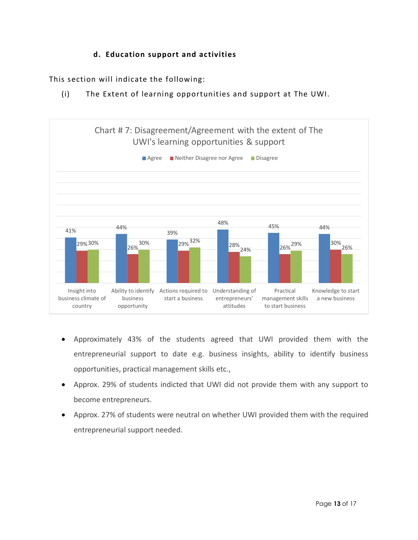# **d. Education support and activities**

<span id="page-12-0"></span>This section will indicate the following:

(i) The Extent of learning opportunities and support at The UWI.



- Approximately 43% of the students agreed that UWI provided them with the entrepreneurial support to date e.g. business insights, ability to identify business opportunities, practical management skills etc.,
- Approx. 29% of students indicted that UWI did not provide them with any support to become entrepreneurs.
- Approx. 27% of students were neutral on whether UWI provided them with the required entrepreneurial support needed.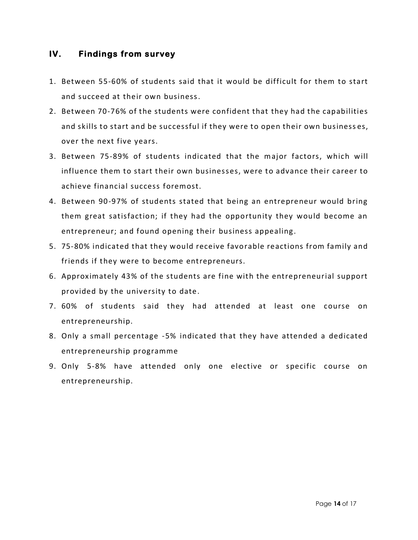## <span id="page-13-0"></span>**IV. Findings from survey**

- 1. Between 55-60% of students said that it would be difficult for them to start and succeed at their own business.
- 2. Between 70-76% of the students were confident that they had the capabilities and skills to start and be successful if they were to open their own business es, over the next five years.
- 3. Between 75-89% of students indicated that the major factors, which will influence them to start their own businesses, were to advance their career to achieve financial success foremost.
- 4. Between 90-97% of students stated that being an entrepreneur would bring them great satisfaction; if they had the opportunity they would become an entrepreneur; and found opening their business appealing.
- 5. 75-80% indicated that they would receive favorable reactions from family and friends if they were to become entrepreneurs.
- 6. Approximately 43% of the students are fine with the entrepreneurial support provided by the university to date.
- 7. 60% of students said they had attended at least one course on entrepreneurship.
- 8. Only a small percentage -5% indicated that they have attended a dedicated entrepreneurship programme
- 9. Only 5-8% have attended only one elective or specific course on entrepreneurship.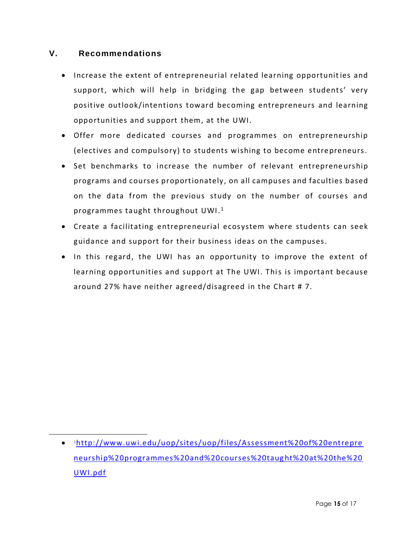# <span id="page-14-0"></span>**V. Recommendations**

l

- Increase the extent of entrepreneurial related learning opportunities and support, which will help in bridging the gap between students' very positive outlook/intentions toward becoming entrepreneurs and learning opportunities and support them, at the UWI.
- Offer more dedicated courses and programmes on entrepreneurship (electives and compulsory) to students wishing to become entrepreneurs.
- Set benchmarks to increase the number of relevant entrepreneurship programs and courses proportionately, on all campuses and faculties based on the data from the previous study on the number of courses and programmes taught throughout  $\mathsf{U}\mathsf{W} \mathsf{I}.^1$
- Create a facilitating entrepreneurial ecosystem where students can seek guidance and support for their business ideas on the campuses.
- In this regard, the UWI has an opportunity to improve the extent of learning opportunities and support at The UWI. This is important because around 27% have neither agreed/disagreed in the Chart # 7.

<sup>1</sup>[http://www.uwi.edu/uop/sites/uop/files/Assessment%20of%20entrepre](http://www.uwi.edu/uop/sites/uop/files/Assessment%20of%20entrepreneurship%20programmes%20and%20courses%20taught%20at%20the%20UWI.pdf) [neurship%20programmes%20and%20courses%20taug](http://www.uwi.edu/uop/sites/uop/files/Assessment%20of%20entrepreneurship%20programmes%20and%20courses%20taught%20at%20the%20UWI.pdf) ht%20at%20the%20 [UWI.pdf](http://www.uwi.edu/uop/sites/uop/files/Assessment%20of%20entrepreneurship%20programmes%20and%20courses%20taught%20at%20the%20UWI.pdf)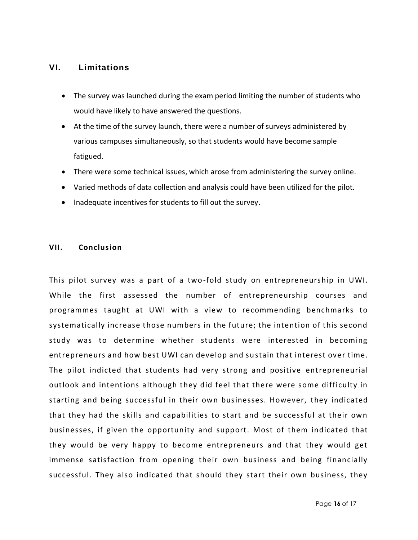#### <span id="page-15-0"></span>**VI. Limitations**

- The survey was launched during the exam period limiting the number of students who would have likely to have answered the questions.
- At the time of the survey launch, there were a number of surveys administered by various campuses simultaneously, so that students would have become sample fatigued.
- There were some technical issues, which arose from administering the survey online.
- Varied methods of data collection and analysis could have been utilized for the pilot.
- Inadequate incentives for students to fill out the survey.

#### <span id="page-15-1"></span>**VII. Conclusion**

This pilot survey was a part of a two -fold study on entrepreneurship in UWI. While the first assessed the number of entrepreneurship courses and programmes taught at UWI with a view to recommending benchmarks to systematically increase those numbers in the future; the intention of this second study was to determine whether students were interested in becoming entrepreneurs and how best UWI can develop and sustain that interest over time. The pilot indicted that students had very strong and positive entrepreneurial outlook and intentions although they did feel that there were some difficulty in starting and being successful in their own businesses. However, they indicated that they had the skills and capabilities to start and be successful at their own businesses, if given the opportunity and support. Most of them indicated that they would be very happy to become entrepreneurs and that they would get immense satisfaction from opening their own business and being financially successful. They also indicated that should they start their own business, they